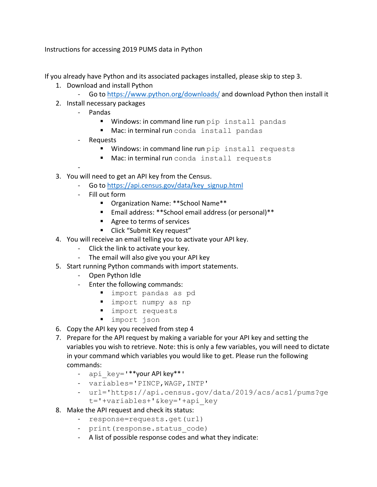Instructions for accessing 2019 PUMS data in Python

If you already have Python and its associated packages installed, please skip to step 3.

- 1. Download and install Python
	- Go to https://www.python.org/downloads/ and download Python then install it
- 2. Install necessary packages
	- Pandas
		- Windows: in command line run pip install pandas
		- Mac: in terminal run conda install pandas
	- Requests

-

- Windows: in command line run pip install requests
- Mac: in terminal run conda install requests
- 3. You will need to get an API key from the Census.
	- Go to https://api.census.gov/data/key\_signup.html
	- Fill out form
		- Organization Name: \*\*School Name\*\*
		- Email address: \*\*School email address (or personal) \*\*
		- Agree to terms of services
		- Click "Submit Key request"
- 4. You will receive an email telling you to activate your API key.
	- Click the link to activate your key.
	- The email will also give you your API key
- 5. Start running Python commands with import statements.
	- Open Python Idle
	- Enter the following commands:
		- import pandas as pd
		- § import numpy as np
		- import requests
		- import json
- 6. Copy the API key you received from step 4
- 7. Prepare for the API request by making a variable for your API key and setting the variables you wish to retrieve. Note: this is only a few variables, you will need to dictate in your command which variables you would like to get. Please run the following commands:
	- api key='\*\*your API key\*\*'
	- variables='PINCP,WAGP,INTP'
	- url='https://api.census.gov/data/2019/acs/acs1/pums?ge t='+variables+'&key='+api\_key
- 8. Make the API request and check its status:
	- response=requests.get(url)
	- print(response.status code)
	- A list of possible response codes and what they indicate: